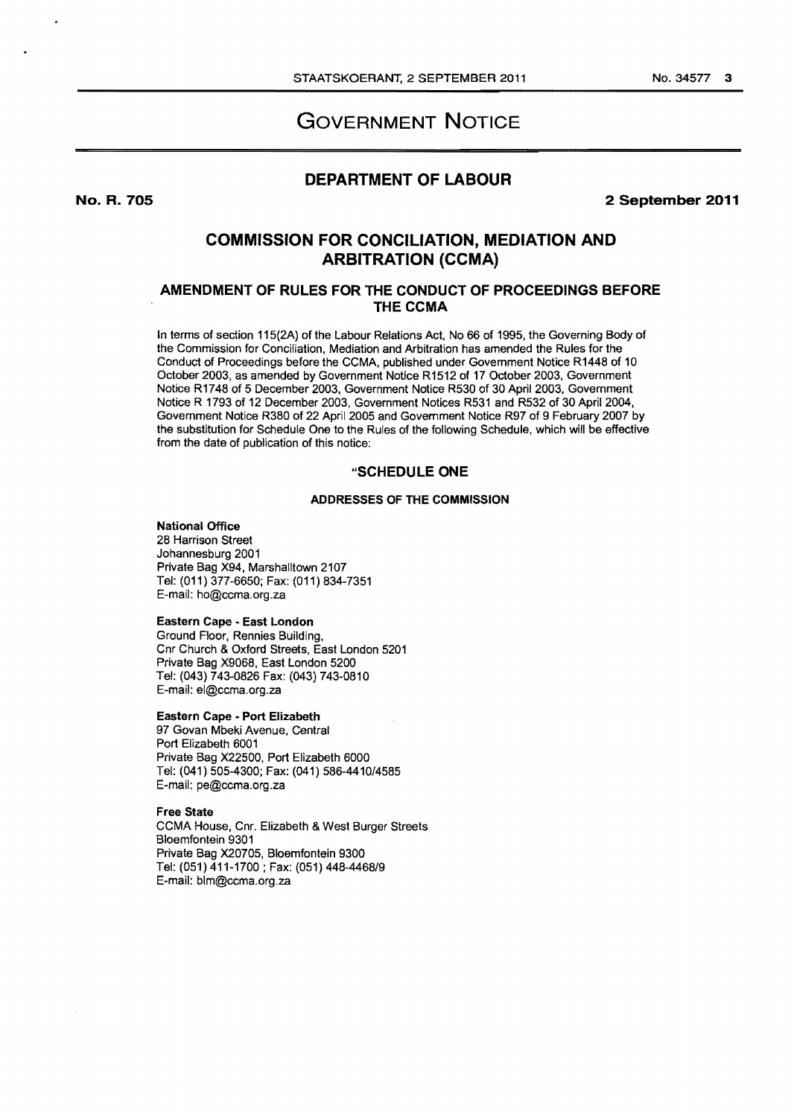# GOVERNMENT NOTICE

## DEPARTMENT OF LABOUR

2 September 2011

## COMMISSION FOR CONCILIATION, MEDIATION AND ARBITRATION {CCMA)

## AMENDMENT OF RULES FOR THE CONDUCT OF PROCEEDINGS BEFORE THE CCMA

In terms of section 115(2A) of the Labour Relations Act, No 66 of 1995, the Governing Body of the Commission for Conciliation, Mediation and Arbitration has amended the Rules for the Conduct of Proceedings before the CCMA, published under Government Notice R1448 of 10 October 2003, as amended by Government Notice R1512 of 17 October 2003, Government Notice R1748 of 5 December 2003, Government Notice R530 of 30 April 2003, Government Notice R 1793 of 12 December 2003, Government Notices R531 and R532 of 30 April2004, Government Notice R380 of 22 April 2005 and Government Notice R97 of 9 February 2007 by the substitution for Schedule One to the Rules of the following Schedule, which will be effective from the date of publication of this notice:

## "SCHEDULE ONE

### ADDRESSES OF THE COMMISSION

## National Office

28 Harrison Street Johannesburg 2001 Private Bag X94, Marshalltown 2107 Tel: (011) 377-6650; Fax: (011) 834-7351 E-mail: ho@ccma.org.za

#### Eastern Cape • East London

Ground Floor, Rennies Building, Cnr Church & Oxford Streets, East London 5201 Private Bag X9068, East London 5200 Tel: (043) 743-0826 Fax: (043) 743-0810 E-mail: el@ccma.org.za

#### Eastern Cape • Port Elizabeth

97 Govan Mbeki Avenue, Central Port Elizabeth 6001 Private Bag X22500, Port Elizabeth 6000 Tel: (041) 505-4300; Fax: (041) 586-4410/4585 E-mail: pe@ccma.org.za

#### Free State

CCMA House, Cnr. Elizabeth & West Burger Streets Bloemfontein 9301 Private Bag X20705, Bloemfontein 9300 Tel: (051) 411-1700 ; Fax: (051) 448-4468/9 E-mail: blm@ccma.org.za

No. R. 705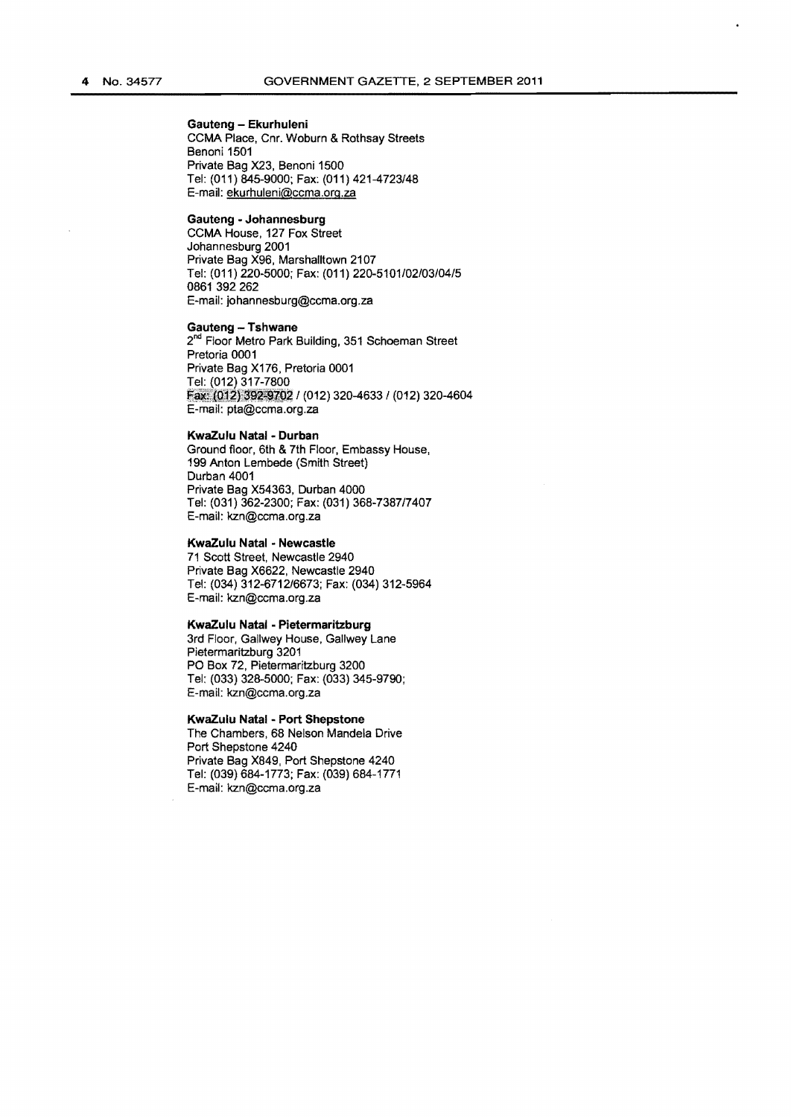## Gauteng - Ekurhuleni

CCMA Place, Cnr. Woburn & Rothsay Streets Benoni 1501 Private Bag X23, Benoni 1500 Tel: (011) 845-9000; Fax: (011) 421-4723/48 E-mail: ekurhuleni@ccma.org.za

#### Gauteng • Johannesburg

CCMA House, 127 Fox Street Johannesburg 2001 Private Bag X96, Marshalltown 2107 Tel: (011) 220-5000; Fax: (011) 220-5101/02/03/04/5 0861 392 262 E-mail: johannesburg@ccma.org.za

Gauteng - Tshwane

2<sup>nd</sup> Floor Metro Park Building, 351 Schoeman Street Pretoria 0001 Private Bag X176, Pretoria 0001 Fax: (012) 392-9702 / (012) 320-4633 / (012) 320-4604 E-mail: pta@ccma.org.za

#### KwaZulu Natal - Durban

Ground floor, 6th & 7th Floor, Embassy House, 199 Anton Lembede (Smith Street) Durban 4001 Private Bag X54363, Durban 4000 Tel: (031) 362-2300; Fax: (031) 368-7387/7407 E-mail: kzn@ccma.org.za

#### KwaZulu Natal • Newcastle

71 Scott Street, Newcastle 2940 Private Bag X6622, Newcastle 2940 Tel: (034) 312-6712/6673; Fax: (034) 312-5964 E-mail: kzn@ccma.org.za

## KwaZulu Natal • Pietermaritzburg

3rd Floor, Gallwey House. Gallwey Lane Pietermaritzburg 3201 PO Box 72, Pietermaritzburg 3200 Tel: (033) 328-5000; Fax: (033) 345-9790; E-mail: kzn@ccma.org.za

#### KwaZulu Natal • Port Shepstone

The Chambers, 68 Nelson Mandela Drive Port Shepstone 4240 Private Bag X849, Port Shepstone 4240 Tel: (039) 684-1773; Fax: (039) 684-1771 E-mail: kzn@ccma.org.za